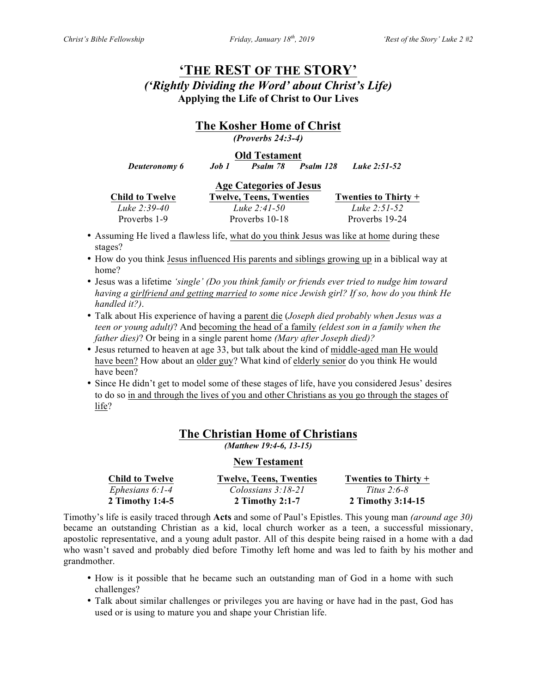# **'THE REST OF THE STORY'** *('Rightly Dividing the Word' about Christ's Life)* **Applying the Life of Christ to Our Lives**

## **The Kosher Home of Christ**

*(Proverbs 24:3-4)*

#### **Old Testament**

 *Deuteronomy 6 Job 1 Psalm 78 Psalm 128 Luke 2:51-52*

| <b>Age Categories of Jesus</b> |                                |                      |  |  |
|--------------------------------|--------------------------------|----------------------|--|--|
| <b>Child to Twelve</b>         | <b>Twelve, Teens, Twenties</b> | Twenties to Thirty + |  |  |
| Luke 2:39-40                   | Luke $2:41-50$                 | Luke $2:51-52$       |  |  |
| Proverbs 1-9                   | Proverbs 10-18                 | Proverbs 19-24       |  |  |

- Assuming He lived a flawless life, what do you think Jesus was like at home during these stages?
- How do you think Jesus influenced His parents and siblings growing up in a biblical way at home?
- Jesus was a lifetime *'single' (Do you think family or friends ever tried to nudge him toward having a girlfriend and getting married to some nice Jewish girl? If so, how do you think He handled it?)*.
- Talk about His experience of having a parent die (*Joseph died probably when Jesus was a teen or young adult)*? And becoming the head of a family *(eldest son in a family when the father dies)*? Or being in a single parent home *(Mary after Joseph died)?*
- Jesus returned to heaven at age 33, but talk about the kind of middle-aged man He would have been? How about an older guy? What kind of elderly senior do you think He would have been?
- Since He didn't get to model some of these stages of life, have you considered Jesus' desires to do so in and through the lives of you and other Christians as you go through the stages of life?

## **The Christian Home of Christians**

*(Matthew 19:4-6, 13-15)*

#### **New Testament**

| <b>Child to Twelve</b> | <b>Twelve, Teens, Twenties</b> | Twenties to Thirty $+$ |
|------------------------|--------------------------------|------------------------|
| Ephesians $6:1-4$      | Colossians $3:18-21$           | <i>Titus 2:6-8</i>     |
| 2 Timothy 1:4-5        | 2 Timothy $2:1-7$              | 2 Timothy 3:14-15      |

Timothy's life is easily traced through **Acts** and some of Paul's Epistles. This young man *(around age 30)* became an outstanding Christian as a kid, local church worker as a teen, a successful missionary, apostolic representative, and a young adult pastor. All of this despite being raised in a home with a dad who wasn't saved and probably died before Timothy left home and was led to faith by his mother and grandmother.

- How is it possible that he became such an outstanding man of God in a home with such challenges?
- Talk about similar challenges or privileges you are having or have had in the past, God has used or is using to mature you and shape your Christian life.